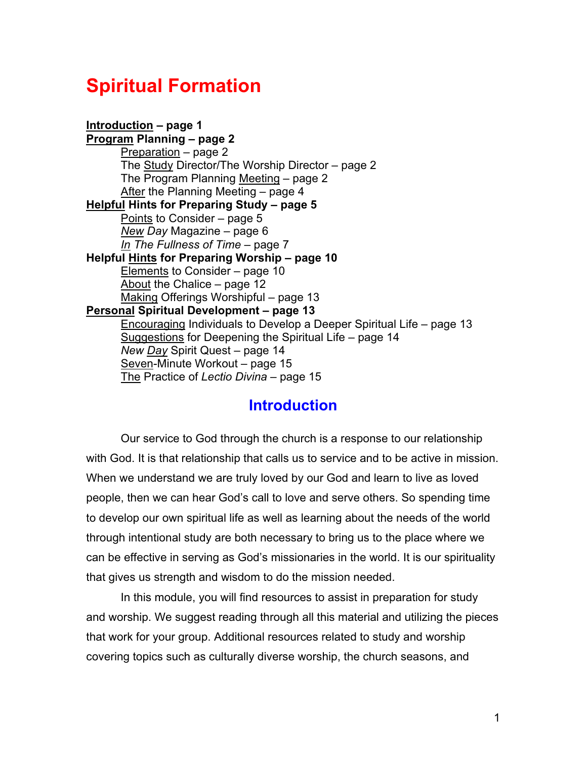# **Spiritual Formation**

**Introduction – page 1 [Program](#page-1-0) Planning – page 2** [Preparation](#page-1-0) – page 2 The [Study](#page-1-0) Director/The Worship Director – page 2 The Program Planning [Meeting](#page-1-0) – page 2 [After](#page-3-0) the Planning Meeting – page 4 **[Helpful](#page-4-0) Hints for Preparing Study – page 5** [Points](#page-4-0) to Consider – page 5 *[New](#page-5-0) Day* Magazine – page 6 *[In](#page-6-0)* The Fullness of Time – page 7 **Helpful [Hints](#page-9-0) for Preparing Worship – page 10** [Elements](#page-9-0) to Consider – page 10 [About](#page-11-0) the Chalice – page 12 [Making](#page-12-0) Offerings Worshipful – page 13 **[Personal](#page-12-0) Spiritual Development – page 13** [Encouraging](#page-12-0) Individuals to Develop a Deeper Spiritual Life – page 13 [Suggestions](#page-13-0) for Deepening the Spiritual Life – page 14 *New [Day](#page-13-0)* Spirit Quest – page 14 [Seven-](#page-14-0)Minute Workout – page 15 [The](#page-14-0) Practice of *Lectio Divina* – page 15

## **Introduction**

Our service to God through the church is a response to our relationship with God. It is that relationship that calls us to service and to be active in mission. When we understand we are truly loved by our God and learn to live as loved people, then we can hear God's call to love and serve others. So spending time to develop our own spiritual life as well as learning about the needs of the world through intentional study are both necessary to bring us to the place where we can be effective in serving as God's missionaries in the world. It is our spirituality that gives us strength and wisdom to do the mission needed.

In this module, you will find resources to assist in preparation for study and worship. We suggest reading through all this material and utilizing the pieces that work for your group. Additional resources related to study and worship covering topics such as culturally diverse worship, the church seasons, and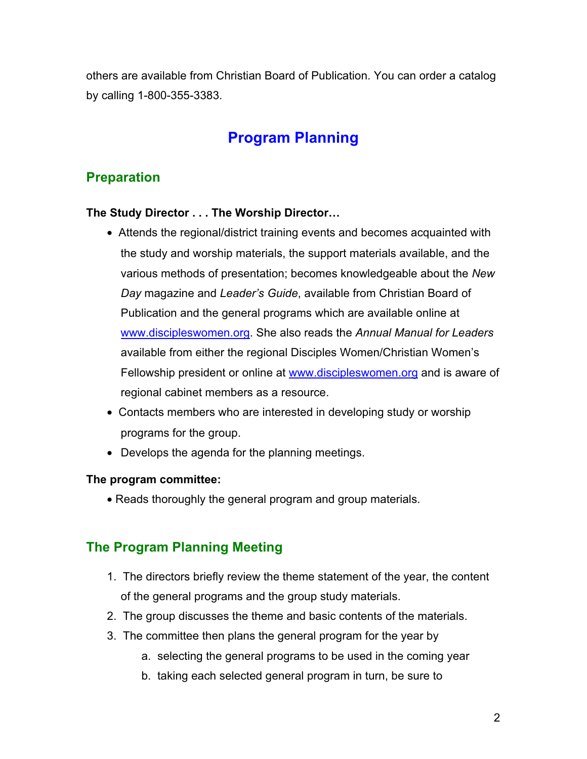<span id="page-1-0"></span>others are available from Christian Board of Publication. You can order a catalog by calling 1-800-355-3383.

# **Program Planning**

# **Preparation**

### **The Study Director . . . The Worship Director…**

- Attends the regional/district training events and becomes acquainted with the study and worship materials, the support materials available, and the various methods of presentation; becomes knowledgeable about the *New Day* magazine and *Leader's Guide*, available from Christian Board of Publication and the general programs which are available online at [www.discipleswomen.org.](www.discipleswomen.org) She also reads the *Annual Manual for Leaders* available from either the regional Disciples Women/Christian Women's Fellowship president or online at<www.discipleswomen.org> and is aware of regional cabinet members as a resource.
- Contacts members who are interested in developing study or worship programs for the group.
- Develops the agenda for the planning meetings.

### **The program committee:**

• Reads thoroughly the general program and group materials.

## **The Program Planning Meeting**

- 1. The directors briefly review the theme statement of the year, the content of the general programs and the group study materials.
- 2. The group discusses the theme and basic contents of the materials.
- 3. The committee then plans the general program for the year by
	- a. selecting the general programs to be used in the coming year
	- b. taking each selected general program in turn, be sure to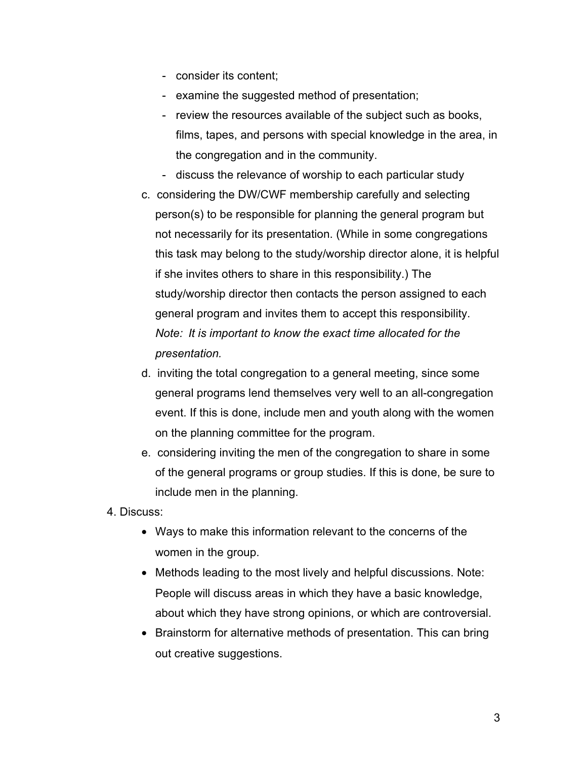- consider its content;
- examine the suggested method of presentation;
- review the resources available of the subject such as books, films, tapes, and persons with special knowledge in the area, in the congregation and in the community.
- discuss the relevance of worship to each particular study
- c. considering the DW/CWF membership carefully and selecting person(s) to be responsible for planning the general program but not necessarily for its presentation. (While in some congregations this task may belong to the study/worship director alone, it is helpful if she invites others to share in this responsibility.) The study/worship director then contacts the person assigned to each general program and invites them to accept this responsibility. *Note: It is important to know the exact time allocated for the presentation.*
- d. inviting the total congregation to a general meeting, since some general programs lend themselves very well to an all-congregation event. If this is done, include men and youth along with the women on the planning committee for the program.
- e. considering inviting the men of the congregation to share in some of the general programs or group studies. If this is done, be sure to include men in the planning.
- 4. Discuss:
	- Ways to make this information relevant to the concerns of the women in the group.
	- Methods leading to the most lively and helpful discussions. Note: People will discuss areas in which they have a basic knowledge, about which they have strong opinions, or which are controversial.
	- Brainstorm for alternative methods of presentation. This can bring out creative suggestions.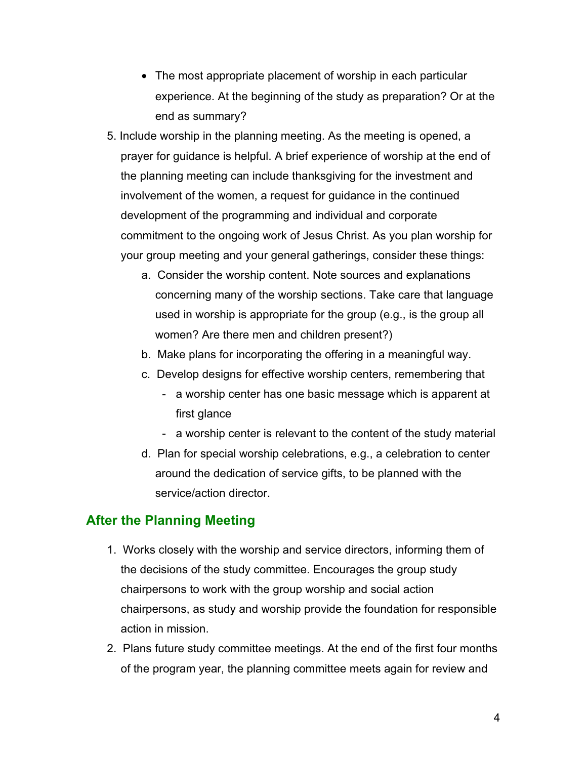- <span id="page-3-0"></span>• The most appropriate placement of worship in each particular experience. At the beginning of the study as preparation? Or at the end as summary?
- 5. Include worship in the planning meeting. As the meeting is opened, a prayer for guidance is helpful. A brief experience of worship at the end of the planning meeting can include thanksgiving for the investment and involvement of the women, a request for guidance in the continued development of the programming and individual and corporate commitment to the ongoing work of Jesus Christ. As you plan worship for your group meeting and your general gatherings, consider these things:
	- a. Consider the worship content. Note sources and explanations concerning many of the worship sections. Take care that language used in worship is appropriate for the group (e.g., is the group all women? Are there men and children present?)
	- b. Make plans for incorporating the offering in a meaningful way.
	- c. Develop designs for effective worship centers, remembering that
		- a worship center has one basic message which is apparent at first glance
		- a worship center is relevant to the content of the study material
	- d. Plan for special worship celebrations, e.g., a celebration to center around the dedication of service gifts, to be planned with the service/action director.

## **After the Planning Meeting**

- 1. Works closely with the worship and service directors, informing them of the decisions of the study committee. Encourages the group study chairpersons to work with the group worship and social action chairpersons, as study and worship provide the foundation for responsible action in mission.
- 2. Plans future study committee meetings. At the end of the first four months of the program year, the planning committee meets again for review and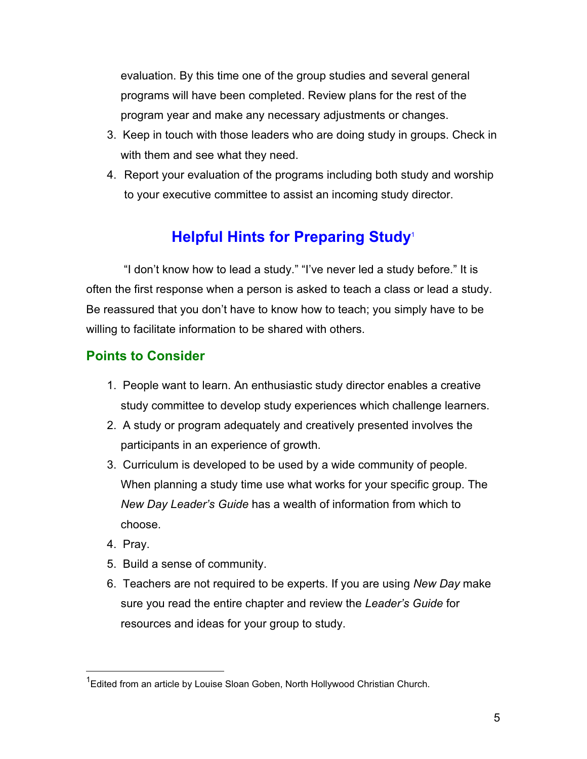<span id="page-4-0"></span>evaluation. By this time one of the group studies and several general programs will have been completed. Review plans for the rest of the program year and make any necessary adjustments or changes.

- 3. Keep in touch with those leaders who are doing study in groups. Check in with them and see what they need.
- 4. Report your evaluation of the programs including both study and worship to your executive committee to assist an incoming study director.

# **Helpful Hints for Preparing Study**<sup>1</sup>

 "I don't know how to lead a study." "I've never led a study before." It is often the first response when a person is asked to teach a class or lead a study. Be reassured that you don't have to know how to teach; you simply have to be willing to facilitate information to be shared with others.

# **Points to Consider**

- 1. People want to learn. An enthusiastic study director enables a creative study committee to develop study experiences which challenge learners.
- 2. A study or program adequately and creatively presented involves the participants in an experience of growth.
- 3. Curriculum is developed to be used by a wide community of people. When planning a study time use what works for your specific group. The *New Day Leader's Guide* has a wealth of information from which to choose.
- 4. Pray.
- 5. Build a sense of community.
- 6. Teachers are not required to be experts. If you are using *New Day* make sure you read the entire chapter and review the *Leader's Guide* for resources and ideas for your group to study.

<sup>————————————————————&</sup>lt;br><sup>1</sup>Edited from an article by Louise Sloan Goben, North Hollywood Christian Church.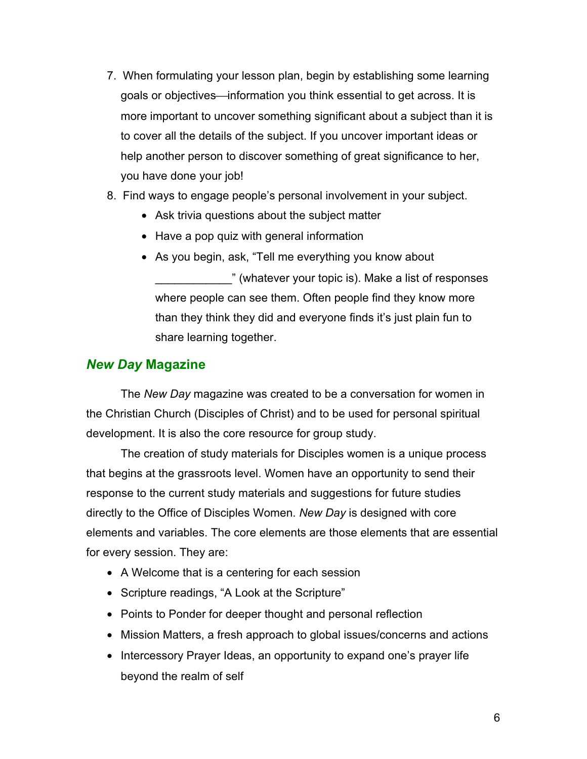<span id="page-5-0"></span>7. When formulating your lesson plan, begin by establishing some learning goals or objectives—information you think essential to get across. It is more important to uncover something significant about a subject than it is to cover all the details of the subject. If you uncover important ideas or help another person to discover something of great significance to her, you have done your job!

### 8. Find ways to engage people's personal involvement in your subject.

- Ask trivia questions about the subject matter
- Have a pop quiz with general information
- As you begin, ask, "Tell me everything you know about \_\_\_\_\_\_\_\_\_\_\_\_" (whatever your topic is). Make a list of responses where people can see them. Often people find they know more than they think they did and everyone finds it's just plain fun to share learning together.

## *New Day* **Magazine**

The *New Day* magazine was created to be a conversation for women in the Christian Church (Disciples of Christ) and to be used for personal spiritual development. It is also the core resource for group study.

The creation of study materials for Disciples women is a unique process that begins at the grassroots level. Women have an opportunity to send their response to the current study materials and suggestions for future studies directly to the Office of Disciples Women. *New Day* is designed with core elements and variables. The core elements are those elements that are essential for every session. They are:

- A Welcome that is a centering for each session
- Scripture readings, "A Look at the Scripture"
- Points to Ponder for deeper thought and personal reflection
- Mission Matters, a fresh approach to global issues/concerns and actions
- Intercessory Prayer Ideas, an opportunity to expand one's prayer life beyond the realm of self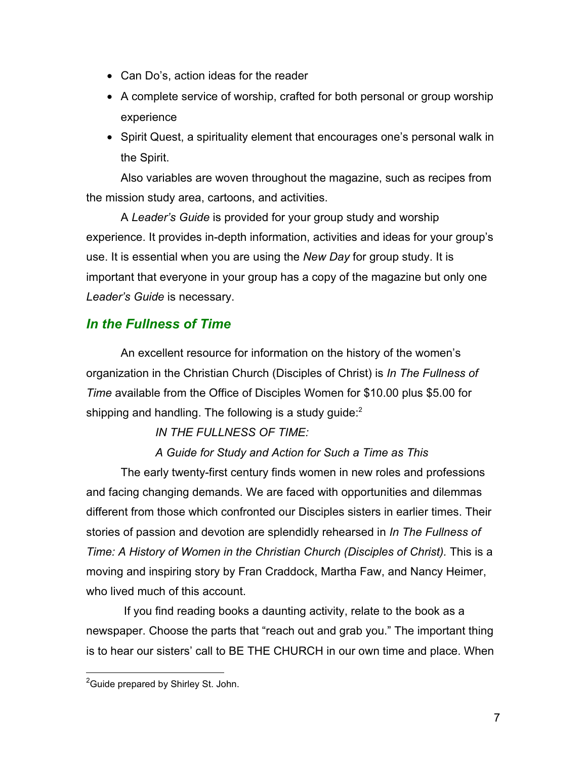- <span id="page-6-0"></span>• Can Do's, action ideas for the reader
- A complete service of worship, crafted for both personal or group worship experience
- Spirit Quest, a spirituality element that encourages one's personal walk in the Spirit.

Also variables are woven throughout the magazine, such as recipes from the mission study area, cartoons, and activities.

A *Leader's Guide* is provided for your group study and worship experience. It provides in-depth information, activities and ideas for your group's use. It is essential when you are using the *New Day* for group study. It is important that everyone in your group has a copy of the magazine but only one *Leader's Guide* is necessary.

## *In the Fullness of Time*

An excellent resource for information on the history of the women's organization in the Christian Church (Disciples of Christ) is *In The Fullness of Time* available from the Office of Disciples Women for \$10.00 plus \$5.00 for shipping and handling. The following is a study guide: $2^2$ 

## *IN THE FULLNESS OF TIME:*

*A Guide for Study and Action for Such a Time as This*

The early twenty-first century finds women in new roles and professions and facing changing demands. We are faced with opportunities and dilemmas different from those which confronted our Disciples sisters in earlier times. Their stories of passion and devotion are splendidly rehearsed in *In The Fullness of Time: A History of Women in the Christian Church (Disciples of Christ).* This is a moving and inspiring story by Fran Craddock, Martha Faw, and Nancy Heimer, who lived much of this account.

 If you find reading books a daunting activity, relate to the book as a newspaper. Choose the parts that "reach out and grab you." The important thing is to hear our sisters' call to BE THE CHURCH in our own time and place. When

 <sup>2</sup> Guide prepared by Shirley St. John.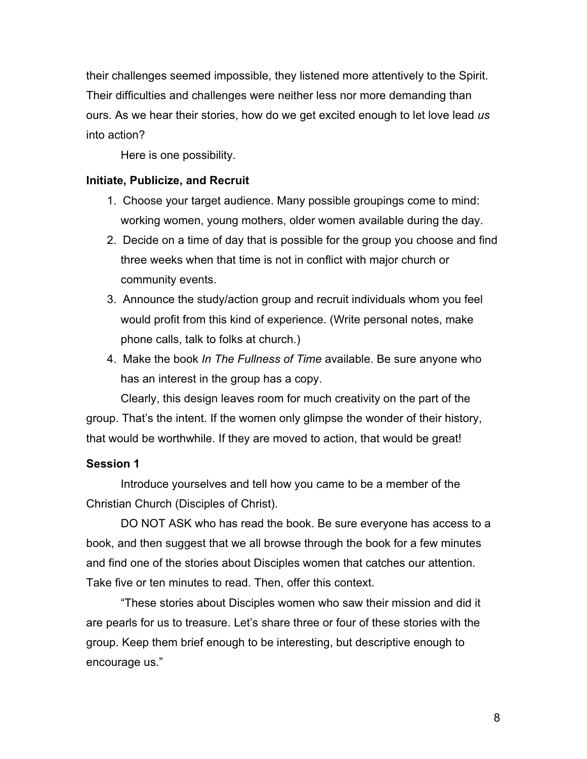their challenges seemed impossible, they listened more attentively to the Spirit. Their difficulties and challenges were neither less nor more demanding than ours. As we hear their stories, how do we get excited enough to let love lead *us* into action?

Here is one possibility.

#### **Initiate, Publicize, and Recruit**

- 1. Choose your target audience. Many possible groupings come to mind: working women, young mothers, older women available during the day.
- 2. Decide on a time of day that is possible for the group you choose and find three weeks when that time is not in conflict with major church or community events.
- 3. Announce the study/action group and recruit individuals whom you feel would profit from this kind of experience. (Write personal notes, make phone calls, talk to folks at church.)
- 4. Make the book *In The Fullness of Time* available. Be sure anyone who has an interest in the group has a copy.

Clearly, this design leaves room for much creativity on the part of the group. That's the intent. If the women only glimpse the wonder of their history, that would be worthwhile. If they are moved to action, that would be great!

### **Session 1**

Introduce yourselves and tell how you came to be a member of the Christian Church (Disciples of Christ).

DO NOT ASK who has read the book. Be sure everyone has access to a book, and then suggest that we all browse through the book for a few minutes and find one of the stories about Disciples women that catches our attention. Take five or ten minutes to read. Then, offer this context.

"These stories about Disciples women who saw their mission and did it are pearls for us to treasure. Let's share three or four of these stories with the group. Keep them brief enough to be interesting, but descriptive enough to encourage us."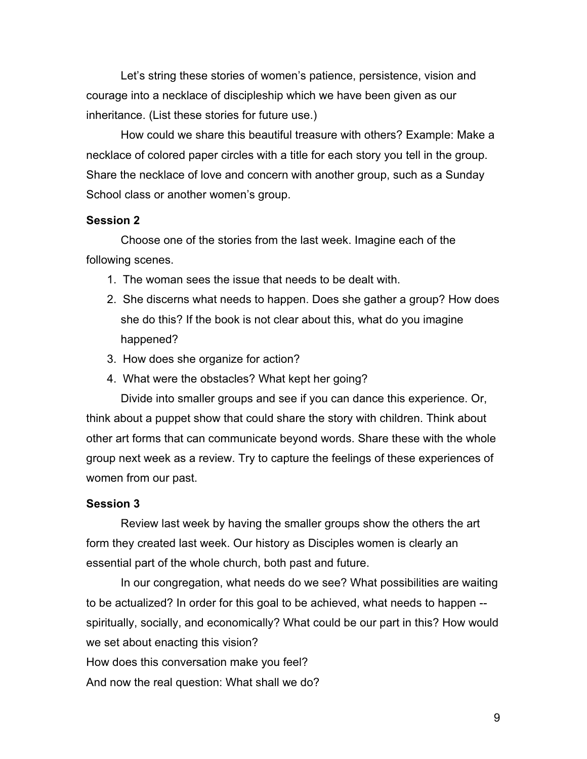Let's string these stories of women's patience, persistence, vision and courage into a necklace of discipleship which we have been given as our inheritance. (List these stories for future use.)

How could we share this beautiful treasure with others? Example: Make a necklace of colored paper circles with a title for each story you tell in the group. Share the necklace of love and concern with another group, such as a Sunday School class or another women's group.

#### **Session 2**

Choose one of the stories from the last week. Imagine each of the following scenes.

- 1. The woman sees the issue that needs to be dealt with.
- 2. She discerns what needs to happen. Does she gather a group? How does she do this? If the book is not clear about this, what do you imagine happened?
- 3. How does she organize for action?
- 4. What were the obstacles? What kept her going?

Divide into smaller groups and see if you can dance this experience. Or, think about a puppet show that could share the story with children. Think about other art forms that can communicate beyond words. Share these with the whole group next week as a review. Try to capture the feelings of these experiences of women from our past.

#### **Session 3**

Review last week by having the smaller groups show the others the art form they created last week. Our history as Disciples women is clearly an essential part of the whole church, both past and future.

In our congregation, what needs do we see? What possibilities are waiting to be actualized? In order for this goal to be achieved, what needs to happen - spiritually, socially, and economically? What could be our part in this? How would we set about enacting this vision?

How does this conversation make you feel?

And now the real question: What shall we do?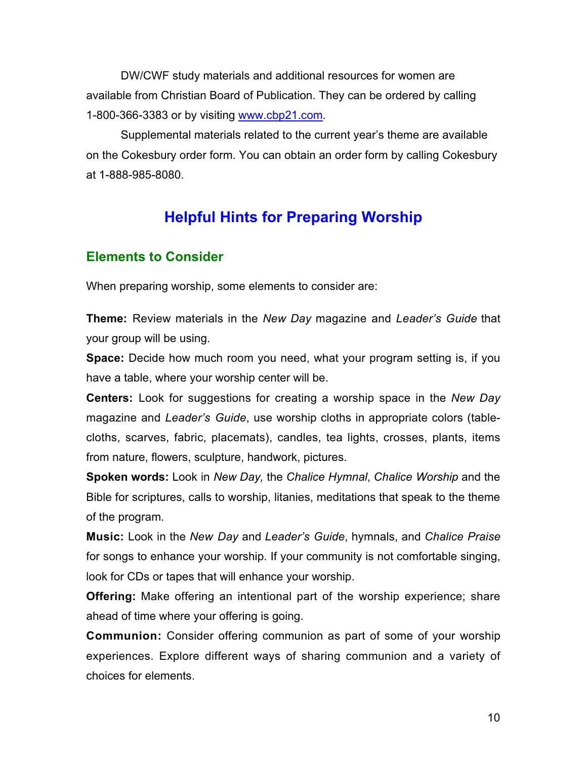<span id="page-9-0"></span>DW/CWF study materials and additional resources for women are available from Christian Board of Publication. They can be ordered by calling 1-800-366-3383 or by visiting [www.cbp21.com.](www.cbp21.com)

Supplemental materials related to the current year's theme are available on the Cokesbury order form. You can obtain an order form by calling Cokesbury at 1-888-985-8080.

# **Helpful Hints for Preparing Worship**

## **Elements to Consider**

When preparing worship, some elements to consider are:

**Theme:** Review materials in the *New Day* magazine and *Leader's Guide* that your group will be using.

**Space:** Decide how much room you need, what your program setting is, if you have a table, where your worship center will be.

**Centers:** Look for suggestions for creating a worship space in the *New Day* magazine and *Leader's Guide*, use worship cloths in appropriate colors (tablecloths, scarves, fabric, placemats), candles, tea lights, crosses, plants, items from nature, flowers, sculpture, handwork, pictures.

**Spoken words:** Look in *New Day,* the *Chalice Hymnal*, *Chalice Worship* and the Bible for scriptures, calls to worship, litanies, meditations that speak to the theme of the program.

**Music:** Look in the *New Day* and *Leader's Guide*, hymnals, and *Chalice Praise* for songs to enhance your worship. If your community is not comfortable singing, look for CDs or tapes that will enhance your worship.

**Offering:** Make offering an intentional part of the worship experience; share ahead of time where your offering is going.

**Communion:** Consider offering communion as part of some of your worship experiences. Explore different ways of sharing communion and a variety of choices for elements.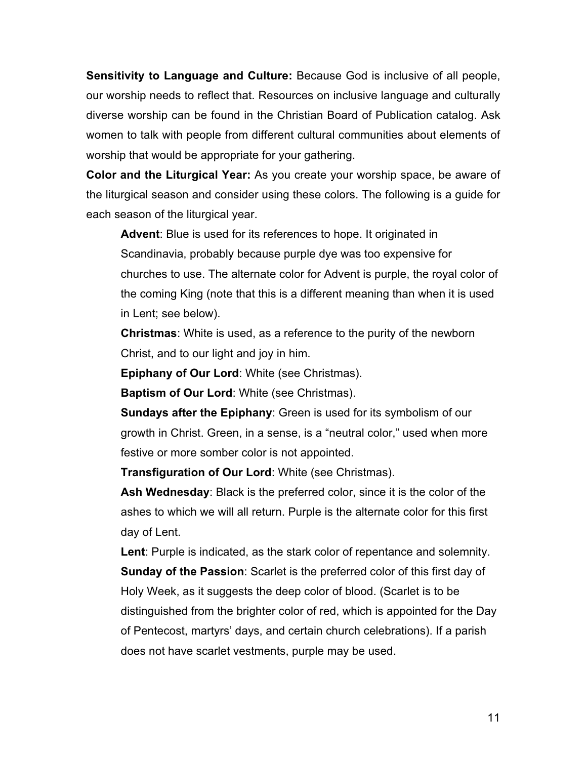**Sensitivity to Language and Culture:** Because God is inclusive of all people, our worship needs to reflect that. Resources on inclusive language and culturally diverse worship can be found in the Christian Board of Publication catalog. Ask women to talk with people from different cultural communities about elements of worship that would be appropriate for your gathering.

**Color and the Liturgical Year:** As you create your worship space, be aware of the liturgical season and consider using these colors. The following is a guide for each season of the liturgical year.

**Advent**: Blue is used for its references to hope. It originated in Scandinavia, probably because purple dye was too expensive for churches to use. The alternate color for Advent is purple, the royal color of the coming King (note that this is a different meaning than when it is used in Lent; see below).

**Christmas**: White is used, as a reference to the purity of the newborn Christ, and to our light and joy in him.

**Epiphany of Our Lord**: White (see Christmas).

**Baptism of Our Lord**: White (see Christmas).

**Sundays after the Epiphany**: Green is used for its symbolism of our growth in Christ. Green, in a sense, is a "neutral color," used when more festive or more somber color is not appointed.

**Transfiguration of Our Lord**: White (see Christmas).

**Ash Wednesday**: Black is the preferred color, since it is the color of the ashes to which we will all return. Purple is the alternate color for this first day of Lent.

**Lent**: Purple is indicated, as the stark color of repentance and solemnity. **Sunday of the Passion**: Scarlet is the preferred color of this first day of Holy Week, as it suggests the deep color of blood. (Scarlet is to be distinguished from the brighter color of red, which is appointed for the Day of Pentecost, martyrs' days, and certain church celebrations). If a parish does not have scarlet vestments, purple may be used.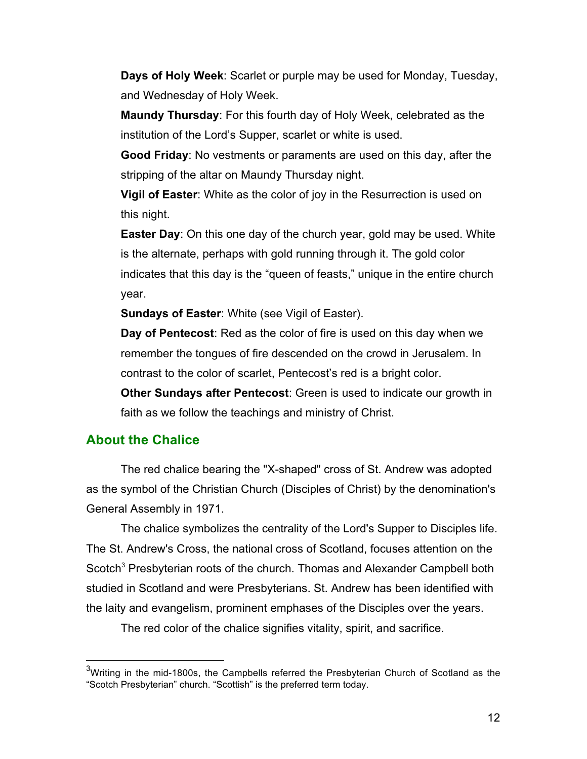<span id="page-11-0"></span>**Days of Holy Week**: Scarlet or purple may be used for Monday, Tuesday, and Wednesday of Holy Week.

**Maundy Thursday**: For this fourth day of Holy Week, celebrated as the institution of the Lord's Supper, scarlet or white is used.

**Good Friday**: No vestments or paraments are used on this day, after the stripping of the altar on Maundy Thursday night.

**Vigil of Easter**: White as the color of joy in the Resurrection is used on this night.

**Easter Day**: On this one day of the church year, gold may be used. White is the alternate, perhaps with gold running through it. The gold color indicates that this day is the "queen of feasts," unique in the entire church year.

**Sundays of Easter**: White (see Vigil of Easter).

**Day of Pentecost**: Red as the color of fire is used on this day when we remember the tongues of fire descended on the crowd in Jerusalem. In contrast to the color of scarlet, Pentecost's red is a bright color.

**Other Sundays after Pentecost**: Green is used to indicate our growth in faith as we follow the teachings and ministry of Christ.

## **About the Chalice**

The red chalice bearing the "X-shaped" cross of St. Andrew was adopted as the symbol of the Christian Church (Disciples of Christ) by the denomination's General Assembly in 1971.

The chalice symbolizes the centrality of the Lord's Supper to Disciples life. The St. Andrew's Cross, the national cross of Scotland, focuses attention on the Scotch<sup>3</sup> Presbyterian roots of the church. Thomas and Alexander Campbell both studied in Scotland and were Presbyterians. St. Andrew has been identified with the laity and evangelism, prominent emphases of the Disciples over the years.

The red color of the chalice signifies vitality, spirit, and sacrifice.

 $^3$ Writing in the mid-1800s, the Campbells referred the Presbyterian Church of Scotland as the "Scotch Presbyterian" church. "Scottish" is the preferred term today.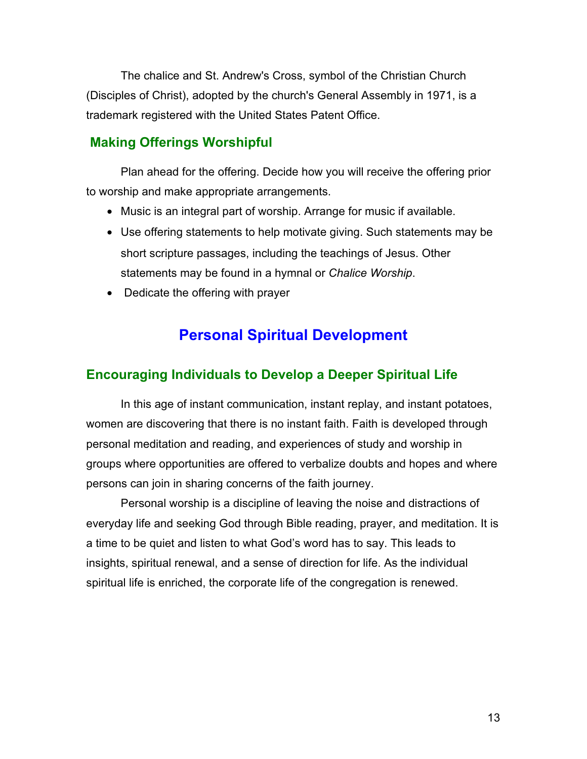<span id="page-12-0"></span>The chalice and St. Andrew's Cross, symbol of the Christian Church (Disciples of Christ), adopted by the church's General Assembly in 1971, is a trademark registered with the United States Patent Office.

# **Making Offerings Worshipful**

Plan ahead for the offering. Decide how you will receive the offering prior to worship and make appropriate arrangements.

- Music is an integral part of worship. Arrange for music if available.
- Use offering statements to help motivate giving. Such statements may be short scripture passages, including the teachings of Jesus. Other statements may be found in a hymnal or *Chalice Worship*.
- Dedicate the offering with prayer

# **Personal Spiritual Development**

## **Encouraging Individuals to Develop a Deeper Spiritual Life**

In this age of instant communication, instant replay, and instant potatoes, women are discovering that there is no instant faith. Faith is developed through personal meditation and reading, and experiences of study and worship in groups where opportunities are offered to verbalize doubts and hopes and where persons can join in sharing concerns of the faith journey.

Personal worship is a discipline of leaving the noise and distractions of everyday life and seeking God through Bible reading, prayer, and meditation. It is a time to be quiet and listen to what God's word has to say. This leads to insights, spiritual renewal, and a sense of direction for life. As the individual spiritual life is enriched, the corporate life of the congregation is renewed.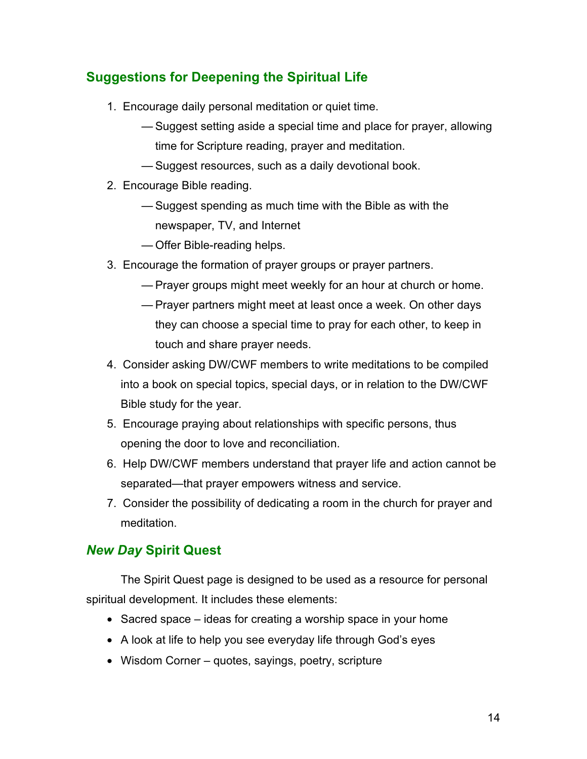# <span id="page-13-0"></span>**Suggestions for Deepening the Spiritual Life**

- 1. Encourage daily personal meditation or quiet time.
	- Suggest setting aside a special time and place for prayer, allowing time for Scripture reading, prayer and meditation.
	- Suggest resources, such as a daily devotional book.
- 2. Encourage Bible reading.
	- Suggest spending as much time with the Bible as with the newspaper, TV, and Internet
	- Offer Bible-reading helps.
- 3. Encourage the formation of prayer groups or prayer partners.
	- Prayer groups might meet weekly for an hour at church or home.
	- Prayer partners might meet at least once a week. On other days they can choose a special time to pray for each other, to keep in touch and share prayer needs.
- 4. Consider asking DW/CWF members to write meditations to be compiled into a book on special topics, special days, or in relation to the DW/CWF Bible study for the year.
- 5. Encourage praying about relationships with specific persons, thus opening the door to love and reconciliation.
- 6. Help DW/CWF members understand that prayer life and action cannot be separated—that prayer empowers witness and service.
- 7. Consider the possibility of dedicating a room in the church for prayer and meditation.

## *New Day* **Spirit Quest**

The Spirit Quest page is designed to be used as a resource for personal spiritual development. It includes these elements:

- Sacred space ideas for creating a worship space in your home
- A look at life to help you see everyday life through God's eyes
- Wisdom Corner quotes, sayings, poetry, scripture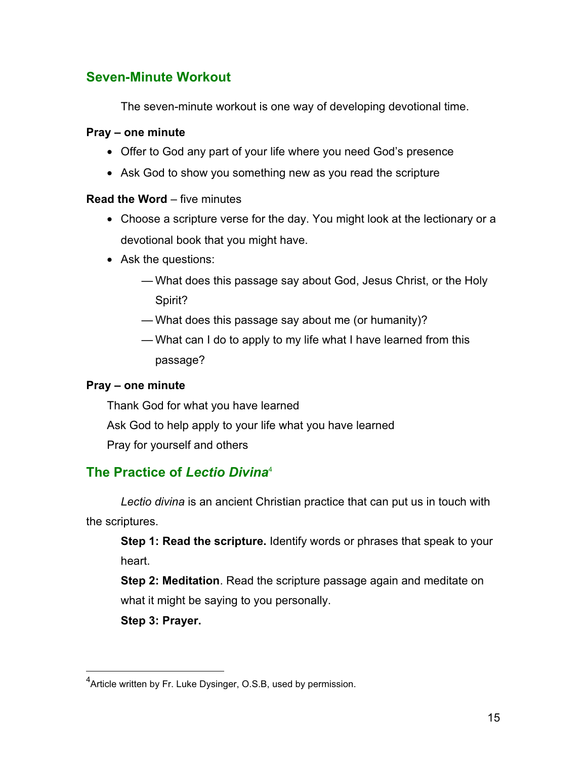# <span id="page-14-0"></span>**Seven-Minute Workout**

The seven-minute workout is one way of developing devotional time.

## **Pray – one minute**

- Offer to God any part of your life where you need God's presence
- Ask God to show you something new as you read the scripture

## **Read the Word – five minutes**

- Choose a scripture verse for the day. You might look at the lectionary or a devotional book that you might have.
- Ask the questions:
	- What does this passage say about God, Jesus Christ, or the Holy Spirit?
	- What does this passage say about me (or humanity)?
	- What can I do to apply to my life what I have learned from this passage?

## **Pray – one minute**

Thank God for what you have learned Ask God to help apply to your life what you have learned Pray for yourself and others

# **The Practice of** *Lectio Divina*<sup>4</sup>

*Lectio divina* is an ancient Christian practice that can put us in touch with the scriptures.

**Step 1: Read the scripture.** Identify words or phrases that speak to your heart.

**Step 2: Meditation**. Read the scripture passage again and meditate on what it might be saying to you personally.

**Step 3: Prayer.**

 <sup>4</sup> Article written by Fr. Luke Dysinger, O.S.B, used by permission.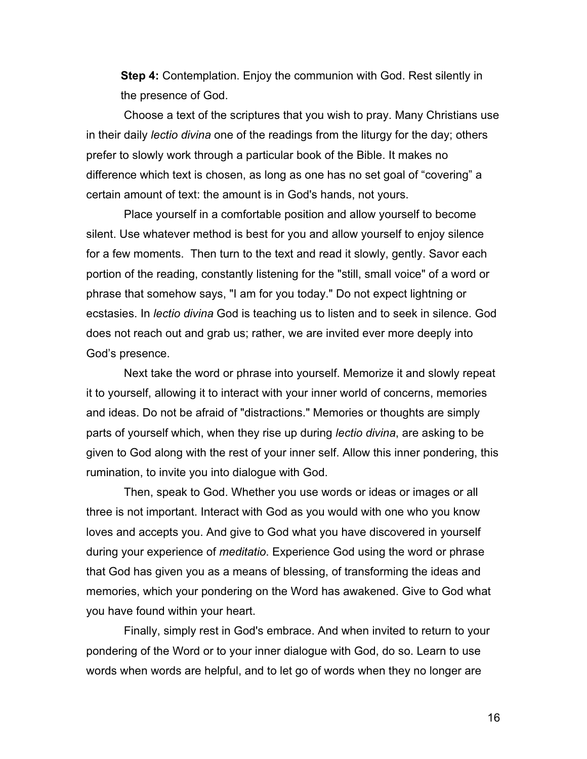**Step 4:** Contemplation. Enjoy the communion with God. Rest silently in the presence of God.

 Choose a text of the scriptures that you wish to pray. Many Christians use in their daily *lectio divina* one of the readings from the liturgy for the day; others prefer to slowly work through a particular book of the Bible. It makes no difference which text is chosen, as long as one has no set goal of "covering" a certain amount of text: the amount is in God's hands, not yours.

 Place yourself in a comfortable position and allow yourself to become silent. Use whatever method is best for you and allow yourself to enjoy silence for a few moments. Then turn to the text and read it slowly, gently. Savor each portion of the reading, constantly listening for the "still, small voice" of a word or phrase that somehow says, "I am for you today." Do not expect lightning or ecstasies. In *lectio divina* God is teaching us to listen and to seek in silence. God does not reach out and grab us; rather, we are invited ever more deeply into God's presence.

 Next take the word or phrase into yourself. Memorize it and slowly repeat it to yourself, allowing it to interact with your inner world of concerns, memories and ideas. Do not be afraid of "distractions." Memories or thoughts are simply parts of yourself which, when they rise up during *lectio divina*, are asking to be given to God along with the rest of your inner self. Allow this inner pondering, this rumination, to invite you into dialogue with God.

 Then, speak to God. Whether you use words or ideas or images or all three is not important. Interact with God as you would with one who you know loves and accepts you. And give to God what you have discovered in yourself during your experience of *meditatio*. Experience God using the word or phrase that God has given you as a means of blessing, of transforming the ideas and memories, which your pondering on the Word has awakened. Give to God what you have found within your heart.

 Finally, simply rest in God's embrace. And when invited to return to your pondering of the Word or to your inner dialogue with God, do so. Learn to use words when words are helpful, and to let go of words when they no longer are